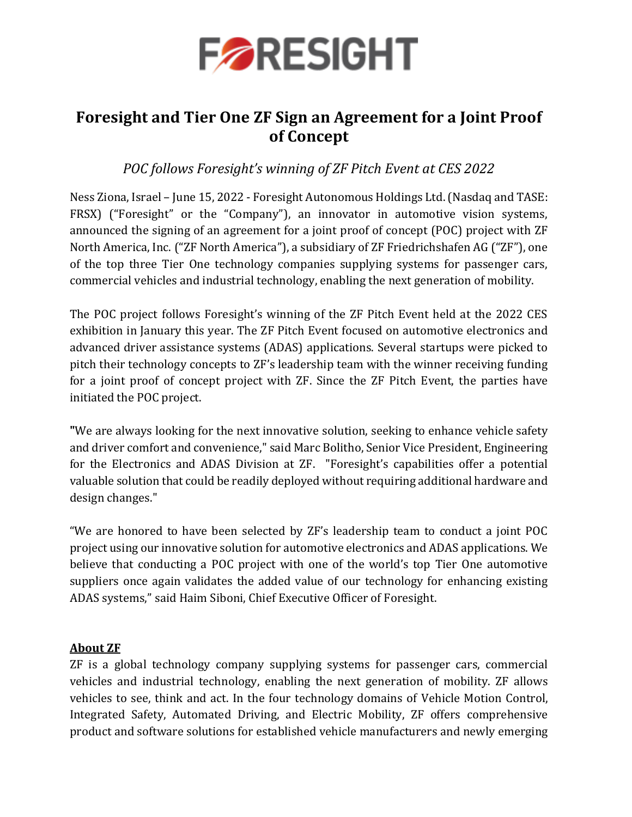

## **Foresight and Tier One ZF Sign an Agreement for a Joint Proof of Concept**

## *POC follows Foresight's winning of ZF Pitch Event at CES 2022*

Ness Ziona, Israel – June 15, 2022 - Foresight Autonomous Holdings Ltd. (Nasdaq and TASE: FRSX) ("Foresight" or the "Company"), an innovator in automotive vision systems, announced the signing of an agreement for a joint proof of concept (POC) project with ZF North America, Inc. ("ZF North America"), a subsidiary of ZF Friedrichshafen AG ("ZF"), one of the top three Tier One technology companies supplying systems for passenger cars, commercial vehicles and industrial technology, enabling the next generation of mobility.

The POC project follows Foresight's winning of the ZF Pitch Event held at the 2022 CES exhibition in January this year. The ZF Pitch Event focused on automotive electronics and advanced driver assistance systems (ADAS) applications. Several startups were picked to pitch their technology concepts to ZF's leadership team with the winner receiving funding for a joint proof of concept project with ZF. Since the ZF Pitch Event, the parties have initiated the POC project.

**"**We are always looking for the next innovative solution, seeking to enhance vehicle safety and driver comfort and convenience," said Marc Bolitho, Senior Vice President, Engineering for the Electronics and ADAS Division at ZF. "Foresight's capabilities offer a potential valuable solution that could be readily deployed without requiring additional hardware and design changes."

"We are honored to have been selected by ZF's leadership team to conduct a joint POC project using our innovative solution for automotive electronics and ADAS applications. We believe that conducting a POC project with one of the world's top Tier One automotive suppliers once again validates the added value of our technology for enhancing existing ADAS systems," said Haim Siboni, Chief Executive Officer of Foresight.

## **About ZF**

ZF is a global technology company supplying systems for passenger cars, commercial vehicles and industrial technology, enabling the next generation of mobility. ZF allows vehicles to see, think and act. In the four technology domains of Vehicle Motion Control, Integrated Safety, Automated Driving, and Electric Mobility, ZF offers comprehensive product and software solutions for established vehicle manufacturers and newly emerging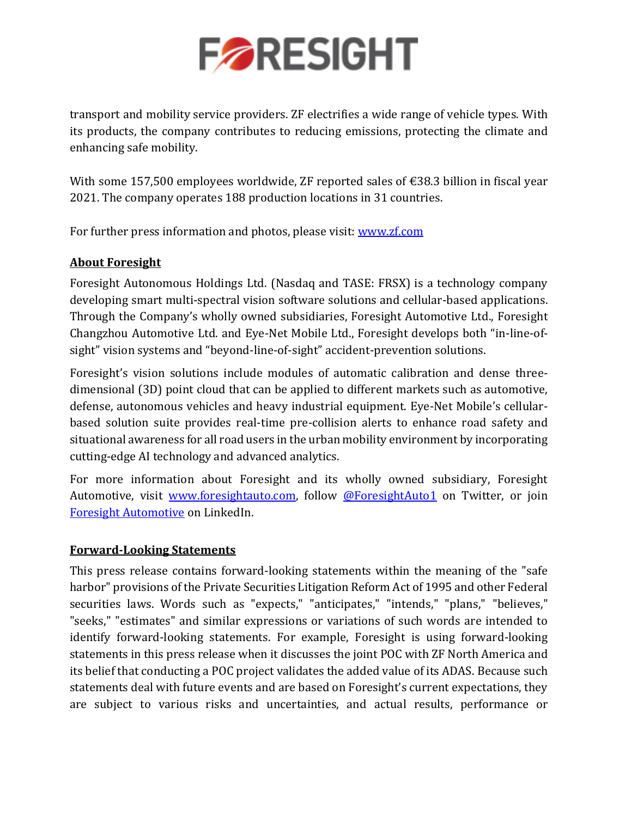

transport and mobility service providers. ZF electrifies a wide range of vehicle types. With its products, the company contributes to reducing emissions, protecting the climate and enhancing safe mobility.

With some 157,500 employees worldwide, ZF reported sales of €38.3 billion in fiscal year 2021. The company operates 188 production locations in 31 countries.

For further press information and photos, please visit: [www.zf.com](http://www.zf.com/)

## **About Foresight**

Foresight Autonomous Holdings Ltd. (Nasdaq and TASE: FRSX) is a technology company developing smart multi-spectral vision software solutions and cellular-based applications. Through the Company's wholly owned subsidiaries, Foresight Automotive Ltd., Foresight Changzhou Automotive Ltd. and Eye-Net Mobile Ltd., Foresight develops both "in-line-ofsight" vision systems and "beyond-line-of-sight" accident-prevention solutions.

Foresight's vision solutions include modules of automatic calibration and dense threedimensional (3D) point cloud that can be applied to different markets such as automotive, defense, autonomous vehicles and heavy industrial equipment. Eye-Net Mobile's cellularbased solution suite provides real-time pre-collision alerts to enhance road safety and situational awareness for all road users in the urban mobility environment by incorporating cutting-edge AI technology and advanced analytics.

For more information about Foresight and its wholly owned subsidiary, Foresight Automotive, visit [www.foresightauto.com,](about:blank) follow [@ForesightAuto1](https://twitter.com/ForesightAuto1) on Twitter, or join [Foresight Automotive](https://www.linkedin.com/company/foresight-automotive/) on LinkedIn.

## **Forward-Looking Statements**

This press release contains forward-looking statements within the meaning of the "safe harbor" provisions of the Private Securities Litigation Reform Act of 1995 and other Federal securities laws. Words such as "expects," "anticipates," "intends," "plans," "believes," "seeks," "estimates" and similar expressions or variations of such words are intended to identify forward-looking statements. For example, Foresight is using forward-looking statements in this press release when it discusses the joint POC with ZF North America and its belief that conducting a POC project validates the added value of its ADAS. Because such statements deal with future events and are based on Foresight's current expectations, they are subject to various risks and uncertainties, and actual results, performance or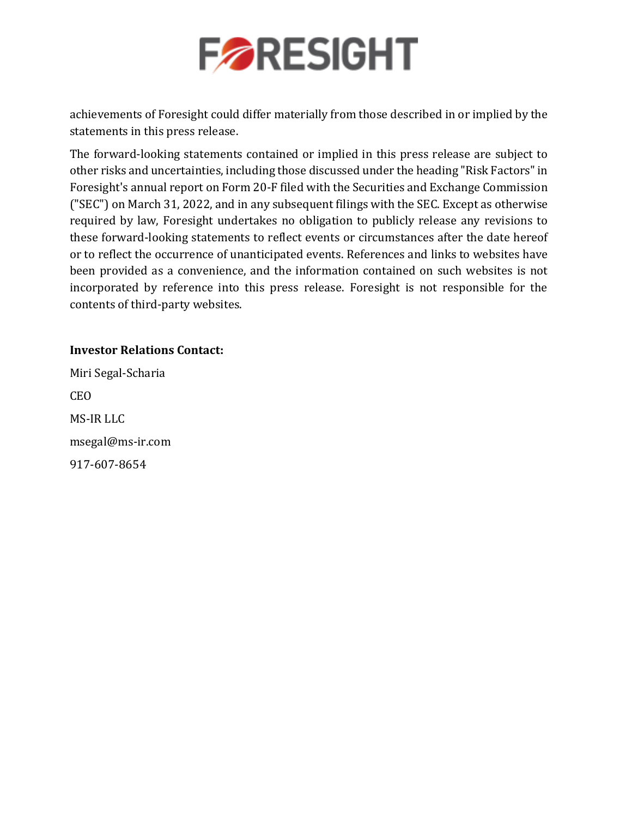

achievements of Foresight could differ materially from those described in or implied by the statements in this press release.

The forward-looking statements contained or implied in this press release are subject to other risks and uncertainties, including those discussed under the heading "Risk Factors" in Foresight's annual report on Form 20-F filed with the Securities and Exchange Commission ("SEC") on March 31, 2022, and in any subsequent filings with the SEC. Except as otherwise required by law, Foresight undertakes no obligation to publicly release any revisions to these forward-looking statements to reflect events or circumstances after the date hereof or to reflect the occurrence of unanticipated events. References and links to websites have been provided as a convenience, and the information contained on such websites is not incorporated by reference into this press release. Foresight is not responsible for the contents of third-party websites.

## **Investor Relations Contact:**

Miri Segal-Scharia CEO MS-IR LLC [msegal@ms-ir.com](mailto:msegal@ms-ir.com) 917-607-8654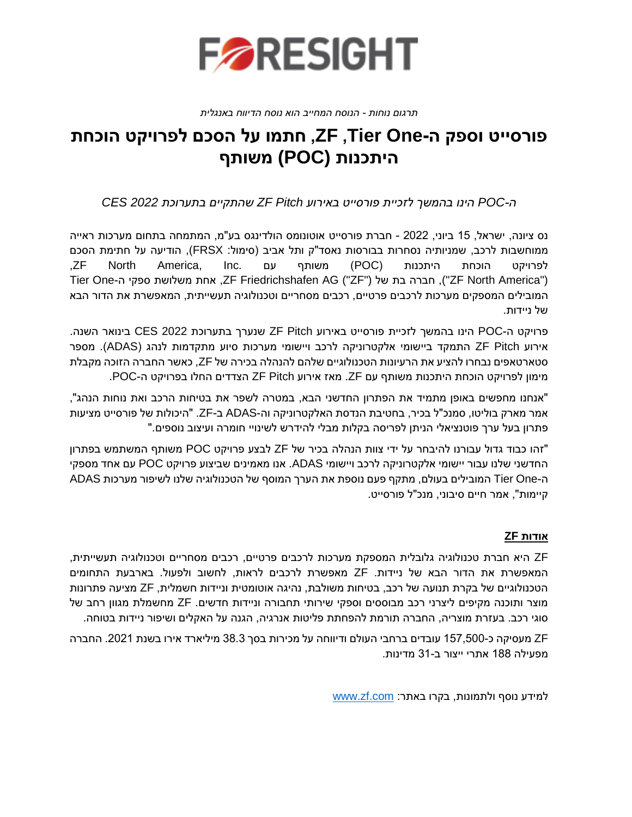

#### *תרגום נוחות - הנוסח המחייב הוא נוסח הדיווח באנגלית*

# **פורסייט וספק ה- One Tier, ZF, חתמו על הסכם לפרויקט הוכחת היתכנות (POC (משותף**

*ה-POC הינו בהמשך לזכיית פורסייט באירוע Pitch ZF שהתקיים בתערוכת 2022 CES* 

נס ציונה, ישראל, 15 ביוני, 2022 - חברת פורסייט אוטונומס הולדינגס בע"מ, המתמחה בתחום מערכות ראייה ממוחשבות לרכב, שמניותיה נסחרות בבורסות נאסד"ק ותל אביב (סימול: FRSX), הודיעה על חתימת הסכם לפרויקט הוכחת היתכנות )POC )משותף עם .Inc ,America North ZF, Tier One-ה ספקי משלושת אחת ,ZF Friedrichshafen AG ("ZF") של בת חברה ,")ZF North America") המובילים המספקים מערכות לרכבים פרטיים, רכבים מסחריים וטכנולוגיה תעשייתית, המאפשרת את הדור הבא של ניידות.

פרויקט ה-POC הינו בהמשך לזכיית פורסייט באירוע Pitch ZF שנערך בתערוכת 2022 CES בינואר השנה. אירוע Pitch ZF התמקד ביישומי אלקטרוניקה לרכב ויישומי מערכות סיוע מתקדמות לנהג )ADAS). מספר סטארטאפים נבחרו להציע את הרעיונות הטכנולוגיים שלהם להנהלה בכירה של ZF, כאשר החברה הזוכה מקבלת מימון לפרויקט הוכחת היתכנות משותף עם ZF. מאז אירוע Pitch ZF הצדדים החלו בפרויקט ה-POC.

"אנחנו מחפשים באופן מתמיד את הפתרון החדשני הבא, במטרה לשפר את בטיחות הרכב ואת נוחות הנהג", אמר מארק בוליטו, סמנכ"ל בכיר, בחטיבת הנדסת האלקטרוניקה וה-ADAS ב -ZF." היכולות של פורסייט מציעות "פתרון בעל ערך פוטנציאלי הניתן לפריסה בקלות מבלי להידרש לשינויי חומרה ועיצוב נוספים.

"זהו כבוד גדול עבורנו להיבח ר על ידי צוות הנהלה בכיר של ZF לבצע פרויקט POC משותף המשתמש בפתרון החדשני שלנו עבור יישומי אלקטרוניקה לרכב ויישומי ADAS. אנו מאמינים שביצוע פרויקט POC עם אחד מספקי ה-One Tier המובילים בעולם, מתקף פעם נוספת את הערך המוסף של הטכנולוגיה שלנו לשיפור מערכות ADAS קיימות", אמר חיים סיבוני, מנכ"ל פורסייט.

## **אודות ZF**

ZF היא חברת טכנולוגיה גלובלית המספקת מערכות לרכבים פרטיים , רכבים מסחריים וטכנולוגיה תעשייתית, המאפשרת את הדור הבא של ניידות. ZF מאפשרת לרכבים לראות, לחשוב ולפעול. בארבעת התחומים הטכנולוגיים של בקרת תנועה של רכב, בטיחות משולבת, נהיגה אוטומטית וניידות חשמלית, ZF מציעה פתרונות מוצר ותוכנה מקיפים ליצרני רכב מבוססים וספקי שירותי תחבורה וניידות חדשים. ZF מחשמלת מגוון רחב של סוגי רכב. בעזרת מוצריה, החברה תורמת להפחתת פליטות אנרגיה, הגנה על האקלים ושיפור ניידות בטוחה.

ZF מעסיקה כ157,500- עובדים ברחבי העולם ודיווחה על מכירות בסך 38.3 מיליארד אירו בשנת .2021 החברה מפעילה 188 אתרי ייצור ב 31- מדינות.

למידע נוסף ולתמונות, בקרו באתר: www.zf.com